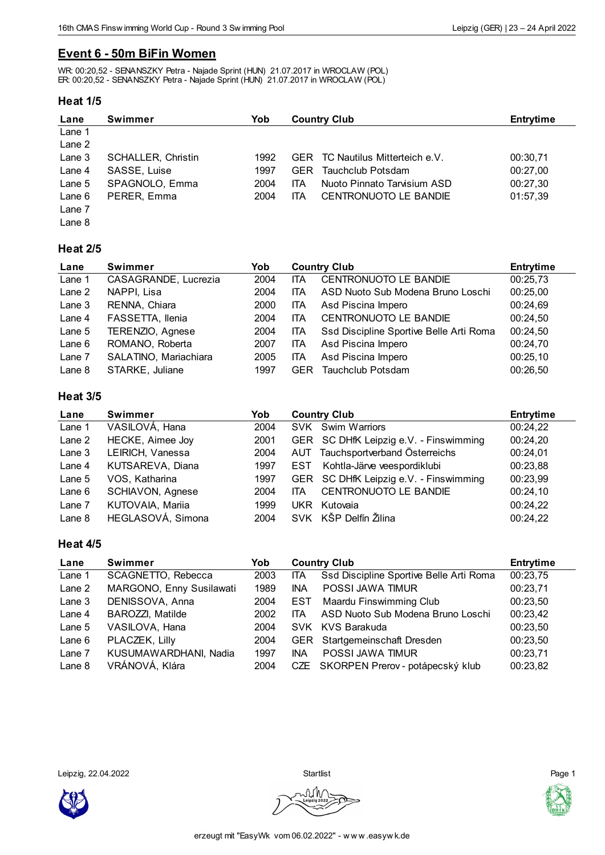# **Event 6 - 50m BiFin Women**

WR: 00:20,52 - SENANSZKY Petra - Najade Sprint (HUN) 21.07.2017 in WROCLAW (POL) ER: 00:20,52 - SENANSZKY Petra - Najade Sprint (HUN) 21.07.2017 in WROCLAW (POL)

### **Heat 1/5**

| Lane              | <b>Swimmer</b>            | Yob  | <b>Country Club</b>                        | <b>Entrytime</b> |
|-------------------|---------------------------|------|--------------------------------------------|------------------|
| Lane 1            |                           |      |                                            |                  |
| Lane 2            |                           |      |                                            |                  |
| Lane <sub>3</sub> | <b>SCHALLER, Christin</b> | 1992 | TC Nautilus Mitterteich e.V.<br><b>GER</b> | 00:30,71         |
| Lane 4            | SASSE, Luise              | 1997 | Tauchclub Potsdam<br><b>GER</b>            | 00:27,00         |
| Lane $5$          | SPAGNOLO, Emma            | 2004 | Nuoto Pinnato Tarvisium ASD<br>ITA         | 00:27,30         |
| Lane $6$          | PERER. Emma               | 2004 | CENTRONUOTO LE BANDIE<br>ITA               | 01:57,39         |
| Lane 7            |                           |      |                                            |                  |
| Lane 8            |                           |      |                                            |                  |

### **Heat 2/5**

| Lane     | <b>Swimmer</b>        | Yob  | <b>Country Club</b> |                                         | <b>Entrytime</b> |
|----------|-----------------------|------|---------------------|-----------------------------------------|------------------|
| Lane 1   | CASAGRANDE, Lucrezia  | 2004 | <b>ITA</b>          | <b>CENTRONUOTO LE BANDIE</b>            | 00:25,73         |
| Lane 2   | NAPPI, Lisa           | 2004 | ITA                 | ASD Nuoto Sub Modena Bruno Loschi       | 00:25,00         |
| Lane $3$ | RENNA, Chiara         | 2000 | ITA                 | Asd Piscina Impero                      | 00:24,69         |
| Lane 4   | FASSETTA, Ilenia      | 2004 | ITA                 | <b>CENTRONUOTO LE BANDIE</b>            | 00:24,50         |
| Lane $5$ | TERENZIO, Agnese      | 2004 | ITA.                | Ssd Discipline Sportive Belle Arti Roma | 00:24,50         |
| Lane 6   | ROMANO, Roberta       | 2007 | <b>ITA</b>          | Asd Piscina Impero                      | 00:24,70         |
| Lane 7   | SALATINO, Mariachiara | 2005 | ITA                 | Asd Piscina Impero                      | 00:25,10         |
| Lane 8   | STARKE, Juliane       | 1997 | <b>GER</b>          | Tauchclub Potsdam                       | 00:26,50         |

## **Heat 3/5**

| Lane     | Swimmer           | Yob  | <b>Country Club</b> |                                        | <b>Entrytime</b> |
|----------|-------------------|------|---------------------|----------------------------------------|------------------|
| Lane 1   | VASILOVÁ, Hana    | 2004 |                     | SVK Swim Warriors                      | 00:24,22         |
| Lane 2   | HECKE, Aimee Joy  | 2001 |                     | GER SC DHfK Leipzig e.V. - Finswimming | 00:24,20         |
| Lane 3   | LEIRICH, Vanessa  | 2004 |                     | AUT Tauchsportverband Österreichs      | 00:24,01         |
| Lane 4   | KUTSAREVA, Diana  | 1997 | EST                 | Kohtla-Järve veespordiklubi            | 00:23,88         |
| Lane 5   | VOS, Katharina    | 1997 |                     | GER SC DHfK Leipzig e.V. - Finswimming | 00:23,99         |
| Lane $6$ | SCHIAVON, Agnese  | 2004 | ITA.                | <b>CENTRONUOTO LE BANDIE</b>           | 00:24,10         |
| Lane 7   | KUTOVAIA, Mariia  | 1999 | UKR                 | Kutovaia                               | 00:24,22         |
| Lane 8   | HEGLASOVÁ, Simona | 2004 |                     | SVK KŠP Delfín Žilina                  | 00:24,22         |

#### **Heat 4/5**

| Lane     | Swimmer                  | Yob  | <b>Country Club</b> |                                         | <b>Entrytime</b> |
|----------|--------------------------|------|---------------------|-----------------------------------------|------------------|
| Lane 1   | SCAGNETTO, Rebecca       | 2003 | ITA                 | Ssd Discipline Sportive Belle Arti Roma | 00:23,75         |
| Lane 2   | MARGONO, Enny Susilawati | 1989 | <b>INA</b>          | POSSI JAWA TIMUR                        | 00:23,71         |
| Lane 3   | DENISSOVA, Anna          | 2004 | <b>EST</b>          | <b>Maardu Finswimming Club</b>          | 00:23,50         |
| Lane 4   | <b>BAROZZI, Matilde</b>  | 2002 | <b>ITA</b>          | ASD Nuoto Sub Modena Bruno Loschi       | 00:23,42         |
| Lane $5$ | VASILOVA, Hana           | 2004 |                     | SVK KVS Barakuda                        | 00:23,50         |
| Lane $6$ | PLACZEK, Lilly           | 2004 |                     | GER Startgemeinschaft Dresden           | 00:23,50         |
| Lane 7   | KUSUMAWARDHANI, Nadia    | 1997 | <b>INA</b>          | POSSI JAWA TIMUR                        | 00:23,71         |
| Lane 8   | VRÁNOVÁ, Klára           | 2004 |                     | CZE SKORPEN Prerov - potápecský klub    | 00:23,82         |

Leipzig, 22.04.2022 Startlist Page 1